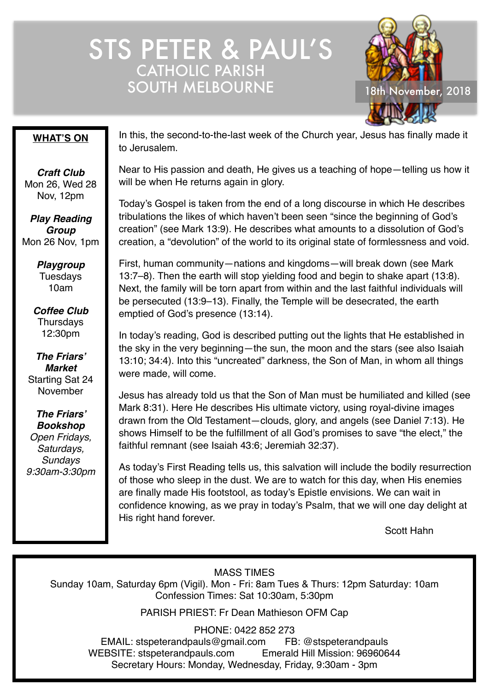# STS PETER & PAUL'S CATHOLIC PARISH SOUTH MELBOURNE 18th November, 2018



### **WHAT'S ON**

*Craft Club* Mon 26, Wed 28 Nov, 12pm

*Play Reading Group* Mon 26 Nov, 1pm

> *Playgroup* Tuesdays 10am

*Coffee Club* **Thursdays** 12:30pm

*The Friars' Market* Starting Sat 24 November

*The Friars' Bookshop Open Fridays, Saturdays, Sundays 9:30am-3:30pm*

In this, the second-to-the-last week of the Church year, Jesus has finally made it to Jerusalem.

Near to His passion and death, He gives us a teaching of hope—telling us how it will be when He returns again in glory.

Today's Gospel is taken from the end of a long discourse in which He describes tribulations the likes of which haven't been seen "since the beginning of God's creation" (see Mark 13:9). He describes what amounts to a dissolution of God's creation, a "devolution" of the world to its original state of formlessness and void.

First, human community—nations and kingdoms—will break down (see Mark 13:7–8). Then the earth will stop yielding food and begin to shake apart (13:8). Next, the family will be torn apart from within and the last faithful individuals will be persecuted (13:9–13). Finally, the Temple will be desecrated, the earth emptied of God's presence (13:14).

In today's reading, God is described putting out the lights that He established in the sky in the very beginning—the sun, the moon and the stars (see also Isaiah 13:10; 34:4). Into this "uncreated" darkness, the Son of Man, in whom all things were made, will come.

Jesus has already told us that the Son of Man must be humiliated and killed (see Mark 8:31). Here He describes His ultimate victory, using royal-divine images drawn from the Old Testament—clouds, glory, and angels (see Daniel 7:13). He shows Himself to be the fulfillment of all God's promises to save "the elect," the faithful remnant (see Isaiah 43:6; Jeremiah 32:37).

As today's First Reading tells us, this salvation will include the bodily resurrection of those who sleep in the dust. We are to watch for this day, when His enemies are finally made His footstool, as today's Epistle envisions. We can wait in confidence knowing, as we pray in today's Psalm, that we will one day delight at His right hand forever.

Scott Hahn

MASS TIMES

Sunday 10am, Saturday 6pm (Vigil). Mon - Fri: 8am Tues & Thurs: 12pm Saturday: 10am Confession Times: Sat 10:30am, 5:30pm

PARISH PRIEST: Fr Dean Mathieson OFM Cap

PHONE: 0422 852 273

EMAIL: stspeterandpauls@gmail.com FB: @stspeterandpauls WEBSITE: stspeterandpauls.com Emerald Hill Mission: 96960644 Secretary Hours: Monday, Wednesday, Friday, 9:30am - 3pm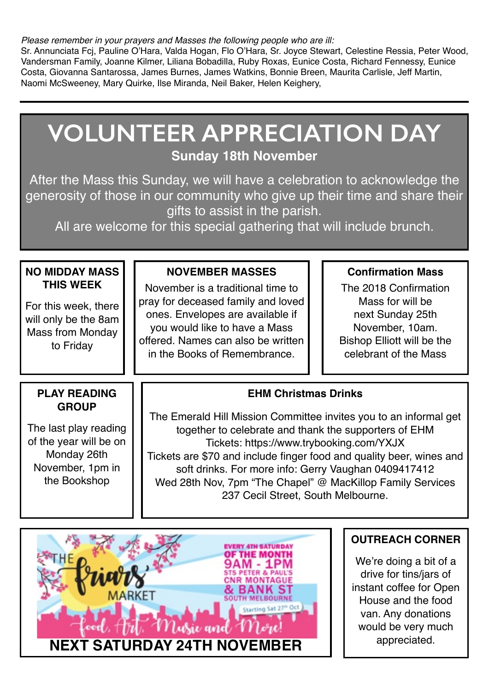*Please remember in your prayers and Masses the following people who are ill:*

Sr. Annunciata Fcj, Pauline O'Hara, Valda Hogan, Flo O'Hara, Sr. Joyce Stewart, Celestine Ressia, Peter Wood, Vandersman Family, Joanne Kilmer, Liliana Bobadilla, Ruby Roxas, Eunice Costa, Richard Fennessy, Eunice Costa, Giovanna Santarossa, James Burnes, James Watkins, Bonnie Breen, Maurita Carlisle, Jeff Martin, Naomi McSweeney, Mary Quirke, Ilse Miranda, Neil Baker, Helen Keighery,

#### **NO MIDDAY MASS THIS WEEK** For this week, there will only be the 8am Mass from Monday to Friday **NOVEMBER MASSES** November is a traditional time to pray for deceased family and loved ones. Envelopes are available if you would like to have a Mass offered. Names can also be written in the Books of Remembrance. **EHM Christmas Drinks** The Emerald Hill Mission Committee invites you to an informal get together to celebrate and thank the supporters of EHM Tickets: https://www.trybooking.com/YXJX Tickets are \$70 and include finger food and quality beer, wines and soft drinks. For more info: Gerry Vaughan 0409417412 Wed 28th Nov, 7pm "The Chapel" @ MacKillop Family Services 237 Cecil Street, South Melbourne. **Confirmation Mass** The 2018 Confirmation Mass for will be next Sunday 25th November, 10am. Bishop Elliott will be the celebrant of the Mass **VOLUNTEER APPRECIATION DAY Sunday 18th November** After the Mass this Sunday, we will have a celebration to acknowledge the generosity of those in our community who give up their time and share their gifts to assist in the parish. All are welcome for this special gathering that will include brunch. **PLAY READING GROUP** The last play reading of the year will be on Monday 26th November, 1pm in the Bookshop



### **OUTREACH CORNER**

We're doing a bit of a drive for tins/jars of instant coffee for Open House and the food van. Any donations would be very much appreciated.